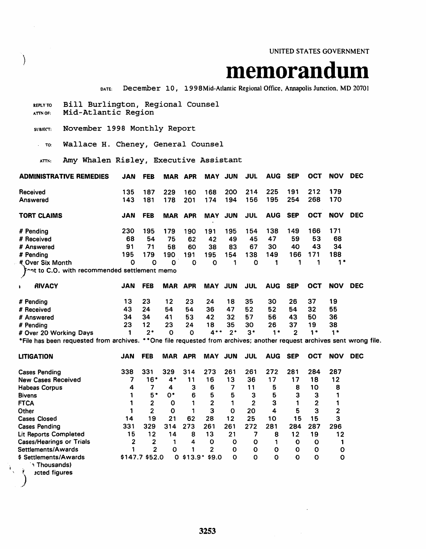UNITED STATES GOVERNMENT

# **Memorandum December 10, 1998Mid-Atlantic Regional Office, Annapolis Junction, MD 20701**

REPLY TO Bill Burlington, Regional Counsel<br>ATTNOF: Mid-Atlantic Region SUBJECT: November 1998 Monthly Report TO: Wallace H. Cheney, General Counsel ATTN: Amy Whalen Risley, Executive Assistant ADMINISTRATIVE REMEDIES JAN FEB MAR APR MAY JUN JUL AUG SEP OCT NOV DEC Received 135 187 229 160 168 200 214 225 191 212 179 Answered 143 181 178 201 174 194 156 195 254 268 170 TORT CLAIMS JAN FEB MAR APR MAY JUN JUL AUG SEP OCT NOV DEC # Pending 230 195 179 190 191 195 154 138 149 166 171 # Received 68 54 75 62 42 49 45 47 59 53 68 # Answered 91 71 58 60 38 83 67 30 40 43 34 # Pending 195 179 190 191 195 154 138 149 166 171 188 It Over Six Month 0 0 0  $\}$  nt to C.O. with recommended settlement memo 0 0 1 0 1 1 1 1 1 1 1 RIVACY JAN FEB MAR APR MAY JUN JUL AUG SEP OCT NOV DEC # Pending 13 23 12 23 24 18 35 30 26 37 19 # Received 43 24 54 54 36 47 52 52 54 32 55 # Answered 34 34 41 53 42 32 57 56 43 50 36 # Pending 23 12 23 24 18 35 30 26 37 19 38 # Over 20 Working Days 1 2\* 0 0 4\*\* 2· 3\* 1 \* 2 1\* 1 \* \*File has been requested from archives. \* \*One file requested from archives; another request archives sent wrong file. LITIGATION JAN FEB MAR APR MAY JUN JUL AUG SEP OCT NOV DEC Cases Pending 338 331 329 314 273 261 261 272 281 284 287 New Cases Received 7 16\* 4\* 11 16 13 36 17 17 18 12 Habeas Corpus 4 7 4 3 6 7 11 5 8 10 8<br>Bivens 1 5 \* 0 \* 6 5 5 3 5 3 3 1 Bivens 1 5· o· 6 5 5 3 5 3 3 1 FlCA 1 2 0 1 2 1 2 3 1 2 1 Other 1 2 0 1 3 0 20 4 5 3 2 Cases Closed 14 19 21 62 28 12 25 10 15 15 3 Cases Pending 331 329 314 273 261 261 272 281 284 287 296 Lit Reports Completed 15 12 14 8 13 21 7 8 12 19 12 Cases/Hearings or Trials 2 2 1 4 0 0 0 1 0 0 1 Settlements/Awards 1 2 0 1 2 0 0 0 0 0 0 \$ Settlements/Awards \$147.7 \$52.0 o \$13.9+ \$9.0 0 0 0 0 0 <sup>0</sup> ., Thousands) , *<sup>t</sup>*3cted figures )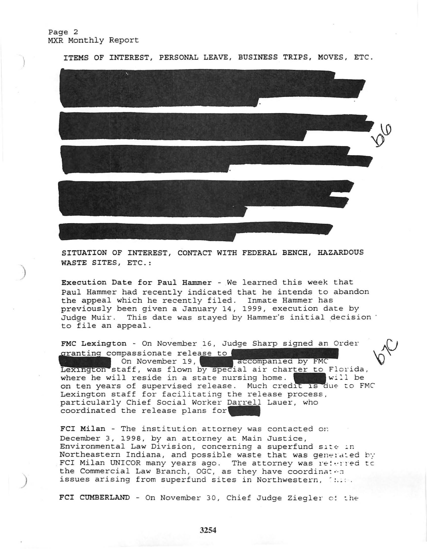## Page 2 MXR Monthly Report

 $\left\langle \right\rangle$ 

)

)



SITUATION OF INTEREST, CONTACT WITH FEDERAL BENCH, HAZARDOUS WASTE SITES, ETC.:

Execution Date for Paul Hammer - We learned this week that Paul Hammer had recently indicated that he intends to abandon the appeal which he recently filed. Inmate Hammer has previously been given a January 14, 1999, execution date by Judge Muir. This date was stayed by Hammer's initial decision ' to file an appeal.

FMC Lexington - On November 16, Judge Sharp signed an Order to file an ap<br>FMC Lexington<br>cranting comp<br>Lexington sta granting compassionate release to On November 19, Lexington staff, was flown by special air charter to Florida, where he will reside in a state nursing home. where he will reside in a state nursing home. Will be on ten years of supervised release. Much credit is due to FMC Lexington staff for facilitating the release process. particularly Chief Social Worker Darrell Lauer, who coordinated the release plans for

FCI Milan - The institution attorney was contacted on December 3, 1998, by an attorney at Main Justice, Environmental Law Division, concerning a superfund site in Northeastern Indiana, and possible waste that was generated by FCI Milan UNICOR many years ago. The attorney was  $re:~:~:~:$ ed to the Commercial Law Branch, OGC, as they have coordinated issues arising from superfund sites in Northwestern, 1820.

FCI CUMBERLAND - On November 30, Chief Judge Ziegler c: the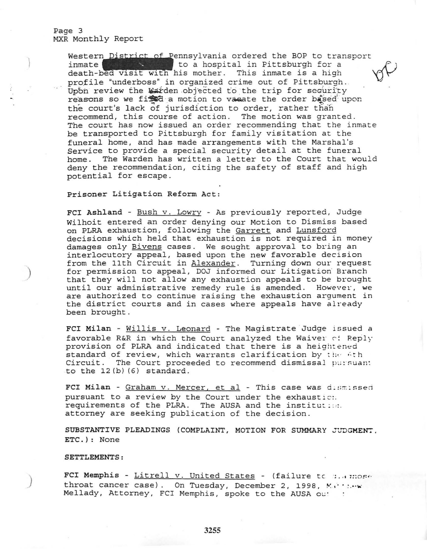Western District of Pennsylvania ordered the BOP to transport inmate  $\left\lceil \frac{1}{2} \right\rceil$  to a hospital in Pittsburgh for a death-bed visit with his mother. This inmate is a high profile "underboss" in organized crime out of Pittsburgh. Upon review the Warden objected to the trip for security reasons so we fixed a motion to vasate the order based upon the court's lack of jurisdiction to order, rather than recommend, this course of action. The motion was granted. The court has now issued an order recommending that the inmate be transported to Pittsburgh for family visitation at the funeral home, and has made arrangements with the Marshal's Service to provide a special security detail at the funeral home. The Warden has written a letter to the Court that would deny the recommendation, citing the safety of staff and high potential for escape.

Prisoner Litigation Reform Act:

FCI Ashland - Bush v. Lowry - As previously reported, Judge Wilhoit entered an order denying our Motion to Dismiss based on PLRA exhaustion, following the Garrett and Lunsford decisions which held that exhaustion is not required in money damages only Bivens cases. We sought approval to bring an interlocutory appeal, based upon the new favorable decision from the 11th Circuit in Alexander. Turning down our request for permission to appeal, DOJ informed our Litigation' Branch that they will not allow any exhaustion appeals to be brought until our administrative remedy rule is amended. However, we are authorized to continue raising the exhaustion argument in the district courts and in cases where appeals have already been brought.

FCI Milan - Willis v. Leonard - The Magistrate Judge issued a favorable R&R in which the Court analyzed the Waiver of Reply provision of PLRA and indicated that there is a heightened standard of review, which warrants clarification by the 6th Circuit. The Court proceeded to recommend dismissal pursuan: to the 12(b) (6) standard.

FCI Milan - Graham v. Mercer, et al - This case was dismissed pursuant to a review by the Court under the exhaustic :. requirements of the PLRA. The AUSA and the institut: ... attorney are seeking publication of the decision.

SUBSTANTIVE PLEADINGS (COMPLAINT, MOTION FOR SUMMARY JUDGMENT, ETC.) : None

SETTLEMENTS :

,)

)

FCI Memphis - Litrell v. United States - (failure to :.. ; :: ose throat cancer case). On Tuesday, December 2, 1998, Matrichy Mellady, Attorney, FCI Memphis, spoke to the AUSA ou!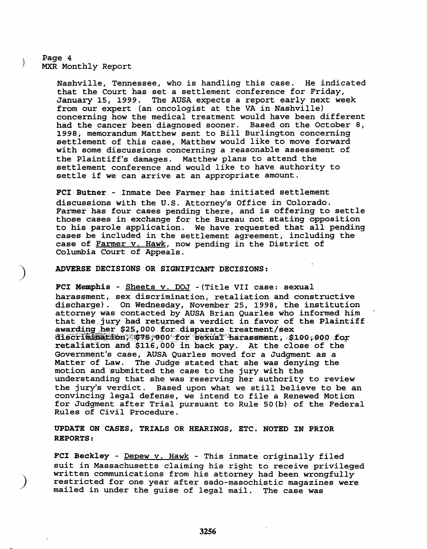## Page 4 MXR Monthly Report

Nashville, Tennessee, who is handling this case. He indicated that the Court has set a settlement conference for Friday, January 15, 1999. The AUSA expects a report early next week from our expert (an oncologist at the VA in Nashville) concerning how the medical treatment would have been different had the cancer been diagnosed sooner. Based on the October 8, 1998, memorandum Matthew sent to *Bill* Burlington concerning settlement of this case, Matthew would *like* to move forward with some discussions concerning a reasonable assessment of<br>the Plaintiff's damages. Matthew plans to attend the Matthew plans to attend the settlement conference and would like to have authority to settle if we can arrive at an appropriate amount.

FCI Butner,- Inmate Dee Farmer has initiated settlement discussions with the u.s. Attorney's Office in Colorado. Farmer has four cases pending there, and *is* offering to settle those cases *in* exchange for the Bureau not stating opposition to his parole application. We have requested that all pending cases be included in the settlement agreement, including the case of Farmer v. Hawk, now pending in the District of Columbia Court of Appeals.

#### ADVERSE DECISIONS OR SIGNIFICANT DECISIONS:

FCI Memphis - Sheets v. DOJ - (Title VII case: sexual harassment, sex discrimination, retaliation and constructive discharge). On Wednesday, November 25, 1998, the institution attorney was contacted by AUSA Brian Quarles who informed him that the jury had returned a verdict in favor of the Plaintiff awarding her \$25,000 for disparate treatment/sex discrimination,  $$75,000$  for sexual harassment ,  $$100,000$  for retaliation and \$116,000 in back pay. At the close of the Government's case, AUSA Quarles moved for a Judgment as a Matter of Law. The Judge stated that she was denying the motion and submitted the case to the jury with the understanding that she was reserving her authority to review the jury's verdict. Based upon what we still believe to be an convincing legal defense, we intend to file a Renewed Motion for Judgment after Trial pursuant to Rule 50(b) of the Federal Rules of Civil Procedure.

## UPDATE ON CASES, TRIALS OR HEARINGS, ETC. NOTED IN PRIOR REPORTS:

FCI Beckley - Depew v. Hawk - This inmate originally filed suit *in* Massachusetts claiming his right to receive privileged written communications from his attorney had been wrongfully restricted for one year after sado-masochistic magazines were mailed in under the guise of legal mail. The case was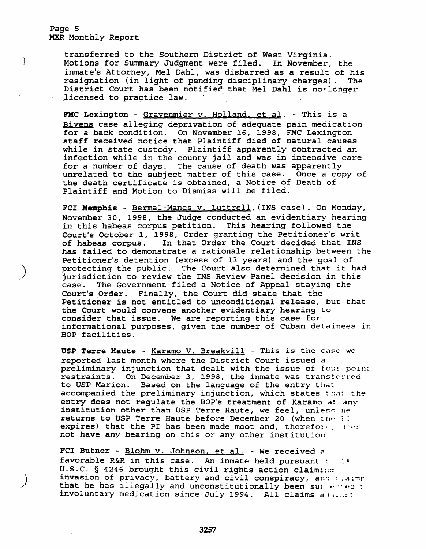Page 5 MXR Monthly Report

 $\mathcal{E}$ 

transferred to the Southern District of West Virginia. Motions for Summary Judgment were filed. In November, the inmate's Attorney, Mel Dahl, was disbarred as a result of his resignation (in light of pending disciplinary charges). The resignation (in light of pending disciplinary charges). The<br>District Court has been notified that Mel Dahl is no•longer<br>licensed to practice law.

FMC Lexington - Gravenmier v. Holland, et al. - This is a Bivens case alleging deprivation of adequate pain medication for a back condition. On November 16, 1998, FMC Lexington staff received notice that Plaintiff died of natural causes while *in* state custody. Plaintiff apparently contracted an infection while in the county jail and was *in* intensive care for a number of days. The cause of death was apparently unrelated to the subject matter of this case. Once a copy of the death certificate is obtained, a Notice of Death of Plaintiff and Motion to Dismiss will be filed.

FCI Memphis - Bermal-Manes v. Luttrell, (INS case). On Monday, November 30, 1998, the Judge conducted an evidentiary hearing in this habeas corpus petition. This hearing followed the Court's October 1, 1998, Order granting the Petitioner's writ<br>of habeas corpus. In that Order the Court decided that INS In that Order the Court decided that INS has failed to demonstrate a rationale relationship between the Petitioner's detention (excess of 13 years) and the goal of protecting the public. The Court also determined that it had jurisdiction to review the INS Review Panel decision *in* this case. The Government filed a Notice of Appeal staying the Court's Order. Finally, the Court did state that the Petitioner *is* not entitled to unconditional release, but that the Court would convene another evidentiary hearing to consider that issue. We are reporting this case for informational purposes, given the number of Cuban detainees *in*  BOP facilities.

USP Terre Haute -  $KaramO$  V. Breakvill - This is the case we reported last month where the District Court issued a preliminary injunction that dealt with the issue of fou: point restraints. On December 3, 1998, the inmate was transferred to USP Marion. Based on the language of the entry that accompanied the preliminary injunction, which states that the entry does not requlate the BOP's treatment of Karamo at any institution other than USP Terre Haute, we feel, unless ne returns to USP Terre Haute before December 20 (when  $un· ::$ expires) that the PI has been made moot and, therefore, resp not have any bearing on this or any other institution.

FCI Butner -  $\underline{\text{Blohm v. Johnson, et al.}}$  - We received a favorable R&R in this case. An inmate held pursuant :  $\cdot$  : U.S.C. § 4246 brought this civil rights action claimins invasion of privacy, battery and civil conspiracy, and states that he has illegally and unconstitutionally been sui  $\cdots$  ... involuntary medication since July 1994. All claims  $a_1$ ......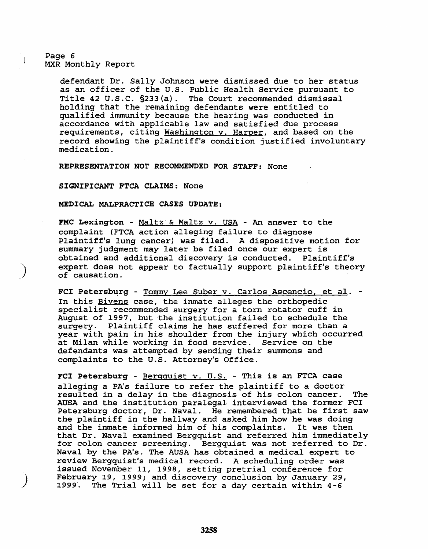## Page 6 MXR Monthly Report

)

Ì

.J

defendant Dr. Sally Johnson were dismissed due to her status as an officer of the U.S. Public Health Service pursuant to Title 42 U.S.C. §233 (a) . The Court recommended dismissal holding that the remaining defendants were entitled to qualified immunity because the hearing was conducted in accordance with applicable law and satisfied due process requirements, citing Washington v. Harper, and based on the record showing the plaintiff's condition justified involuntary medication.

REPRESENTATiON NOT RECOMMENDED FOR STAFF: None

SiGNiFICANT FTCA CLAIMS: None

MEDiCAL MALPRACTICE CASES UPDATE:

FMC Lexington - Maltz & Maltz v. USA - An answer to the complaint (FTCA action alleging failure to diagnose Plaintiff's lung cancer) was filed. A dispositive motion for summary judgment may later be filed once our expert is obtained and additional discovery is conducted. Plaintiff's expert does not appear to factually support plaintiff's theory of causation.

FCI Petersburg - Tommy Lee Suber v. Carlos Ascencio, et al. -In this Bivens case, the inmate alleges the orthopedic specialist recommended surgery for a torn rotator cuff in August of 1997, but the institution failed to schedule the surgery. Plaintiff claims he has suffered for more than a year with pain in his shoulder from the injury which occurred at Milan while working in food service. Service on the defendants was attempted by sending their summons and complaints to the U.S. Attorney's Office.

FCI Petersburg -  $\frac{1}{2}$  Bergquist v. U.S. - This is an FTCA case alleging a PA's failure to refer the plaintiff to a doctor resulted in a delay in the diagnosis of his colon cancer. The AUSA and the institution paralegal interviewed the former FCI Petersburg doctor, Dr. Naval. He remembered that he first saw the plaintiff in the hallway and asked him how he was doing and the inmate informed him of his complaints. It was then that Dr. Naval examined Bergquist and referred him immediately for colon cancer screening. Bergquist was not referred to Dr. Naval by the PA's. The AUSA has obtained a medical expert to review Bergquist's medical record. A scheduling order was issued November 11, 1998, setting pretrial conference for February 19, 1999; and discovery conclusion by January 29, 1999'. The Trial will be set for a day certain within 4-6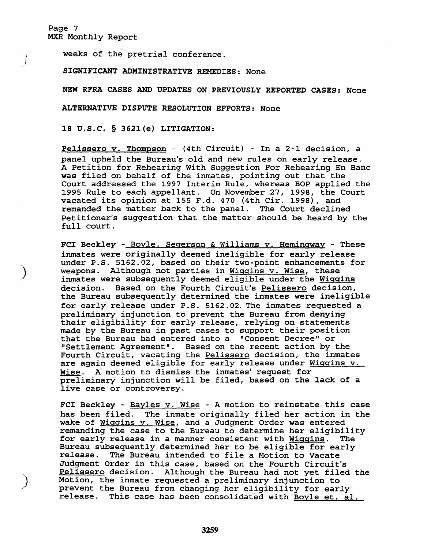Page 7 MXR Monthly Report

*i*  )

 $\sum_{i=1}^{n}$ 

,)

weeks of the pretrial conference.

SIGNIFICANT ADMINISTRATIVE REMEDIES: None

NEW RFRA CASES AND UPDATES ON PREVIOUSLY REPORTED CASES: None

ALTERNATIVE DISPUTE RESOLUTION EFFORTS: None

18 U.S.C. § 3621(e) LITIGATION:

Pelissero v. Thompson - (4th Circuit) - In a 2-1 decision, a panel upheld the Bureau's old and new rules on early release. A Petition for Rehearing With Suggestion For Rehearing En Bane was filed on behalf of the inmates, pointing out that the Court addressed the 1997 Interim Rule, whereas BOP applied the 1995 Rule to each appellant. On November 27, 1998, the Court vacated its *opinion* at 155 F.d. 470 (4th Cir. 1998), and remanded the matter back to the panel. The Court declined Petitioner's suggestion that the matter should be heard by the full court.

FCI Beckley - Boyle. Segerson & Williams v. Hemingway - These inmates were originally deemed ineligible for early release under P.S. 5162.02, based on their two-point enhancements for weapons. Although not parties *in* Wiggins v. Wise, these inmates were subsequently deemed eligible under the Wiggins decision. Based on the Fourth Circuit's Pelissero decision, the Bureau subsequently determined the inmates were ineligible for early release under P.S. 5162.02. The inmates requested a preliminary injunction to prevent the Bureau from denying their eligibility for early release, relying on statements made by the Bureau *in* past cases to support their position that the Bureau had entered into a "Consent Decree" or "Settlement Agreement". Based on the recent action by the Fourth Circuit, vacating the Pelissero decision, the inmates are again deemed eligible for early release under Wiggins v. Wise. A motion to dismiss the inmates' request for preliminary injunction will be filed, based on the lack of a live case or controversy.

FCI Beckley - Bayles v. Wise - A motion to reinstate this case has been filed. The inmate originally filed her action in the wake of Wiggins v. Wise, and a Judgment Order was entered remanding the case to the Bureau to determine her eligibility for early release in a manner consistent with Wiggins. The Bureau subsequently determined her to be eligible for early release. The Bureau intended to file a Motion to Vacate The Bureau intended to file a Motion to Vacate Judgment Order in this case, based on the Fourth Circuit's Pelissero decision. Although the Bureau had not yet filed the Motion, the inmate requested a preliminary injunction to prevent the Bureau from changing her eligibility for early release. This case has been consolidated with Boyle et. al.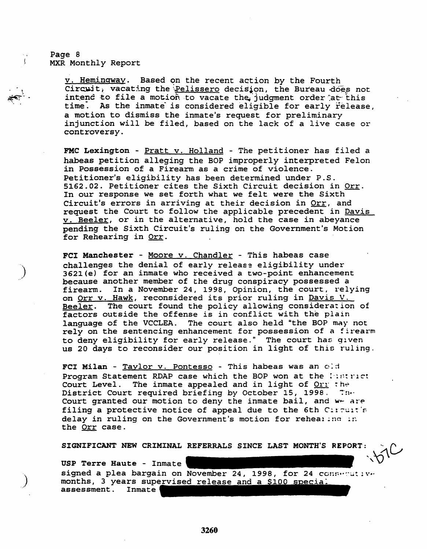Page 8 MXR Monthly Report

 $\ddot{\phantom{0}}$ t

~ ~.-. .<br>ক্ৰু

)

,)

v. Hemingway. Based on the recent action by the Fourth Circuit, vacating the Pelissero decision, the Bureau .does not intend to file a motion to vacate the judgment order at this time: As the inmate *is* considered eligible for early release, a motion to dismiss the inmate's request for preliminary injunction will be filed, based on the lack of a live case or controversy\_

FMC Lexington - Pratt v. Holland - The petitioner has filed a habeas petition alleging the BOP improperly interpreted Felon in Possession of a Firearm as a crime of violence. Petitioner's eligibility has been determined under P.S. 5162.02. Petitioner cites the Sixth Circuit decision in Orr. In our response we set forth what we felt were the Sixth Circuit's errors in arriving at their decision *in* Orr, and request the Court to follow the applicable precedent *in* Davis v. Beeler, or in the alternative, hold the case in abeyance pending the Sixth *Circuit's* ruling on the Government's Motion for Rehearing in Orr.

FCI Manchester Moore v. Chandler - *This* habeas case challenges the denial of early release eligibility under 3621(e) for an inmate who received a two-point enhancement because another member of the drug conspiracy possessed a firearm. In a November 24, 1998, *Opinion,* the court, relying on Orr v. Hawk, reconsidered its prior ruling *in* Davis V. Beeler. The court found the policy allowing consideration of factors outside the offense is in conflict with the plain language of the VCCLEA. The court also held "the BOp'may not ranguage or the vecian: The coart areo here the sor may not to deny eligibility for early release." The court has given us 20 days to *reconsider* our position *in* light of this ruling.

FCI Milan - Taylor v. Pontesso - This habeas was an old Program Statement RDAP case which the BOP won at the listrict Court Level. The inmate appealed and in light of Orr the District Court required briefing by October 15, 1998. The Court granted our motion to deny the inmate bail, and  $w -$  are filing a protective notice of appeal due to the 6th Circuit's delay in ruling on the Government's motion for reheal inc in the Orr case.

SIGNIFICANT NEW CRIMINAL REFERRALS SINCE LAST MONTH'S REPORT:

USP Terre Haute - Inmate ',\J~ signed a plea bargain on November 24, 1998, for 24 C'cru.··~·~~ ~ \'.' months, 3 years supervised release and a \$100 special assessment. Inmate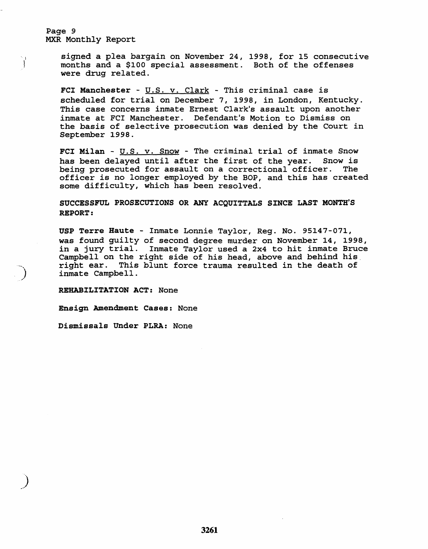Page 9 MXR Monthly Report

I 1

)

signed a plea bargain on November 24, 1998, for 15 consecutive months and a \$100 special assessment. Both of the offenses were drug related.

FCI Manchester -  $U.S. v. Clark$  - This criminal case is</u> scheduled for trial on December 7, 1998, in London, Kentucky. This case concerns inmate Ernest Clark's assault upon another inmate at FCI Manchester. Defendant's Motion to Dismiss on the basis of selective prosecution was denied by the Court in September 1998.

FCI Milan -  $U.S. V.$  Snow - The criminal trial of inmate Snow has been delayed until after the first of the year. Snow is being prosecuted for assault on a correctional officer. The being prosecuted for assault on a correctional officer. officer is no longer employed by the BOP, and this has created some difficulty, which has been resolved.

# SUCCESSFUL PROSECUTIONS OR ANY ACQUITTALS SINCE LAST MONTH'S REPORT:

USP Terre Haute - Inmate Lonnie Taylor, Reg. No. 95147-071, was found guilty of second degree murder on November 14, 1998, in a jury trial. Inmate Taylor used a 2x4 to hit inmate Bruce Campbell on the right side of his head, above and behind his. right ear. This blunt force trauma resulted in the death of inmate Campbell.

REHABILITATION ACT: None

Ensign Amendment Cases: None

Dismissals Under PLRA: None